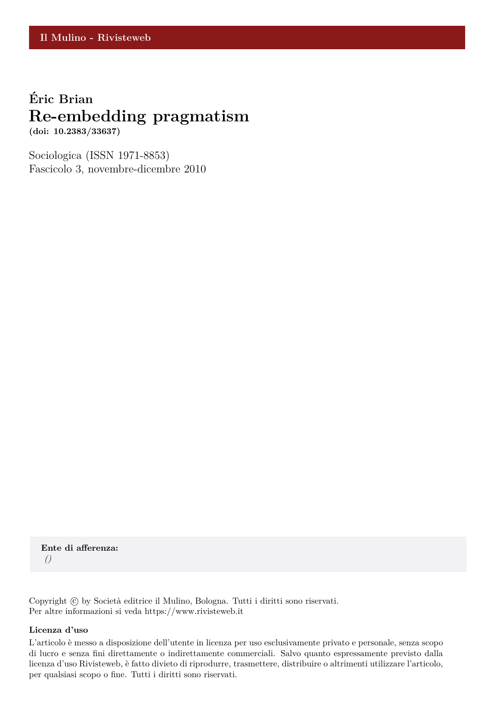## **Eric Brian ´ Re-embedding pragmatism**

**(doi: 10.2383/33637)**

Sociologica (ISSN 1971-8853) Fascicolo 3, novembre-dicembre 2010

**Ente di afferenza:** *()*

Copyright © by Società editrice il Mulino, Bologna. Tutti i diritti sono riservati. Per altre informazioni si veda https://www.rivisteweb.it

### **Licenza d'uso**

L'articolo è messo a disposizione dell'utente in licenza per uso esclusivamente privato e personale, senza scopo di lucro e senza fini direttamente o indirettamente commerciali. Salvo quanto espressamente previsto dalla licenza d'uso Rivisteweb, è fatto divieto di riprodurre, trasmettere, distribuire o altrimenti utilizzare l'articolo, per qualsiasi scopo o fine. Tutti i diritti sono riservati.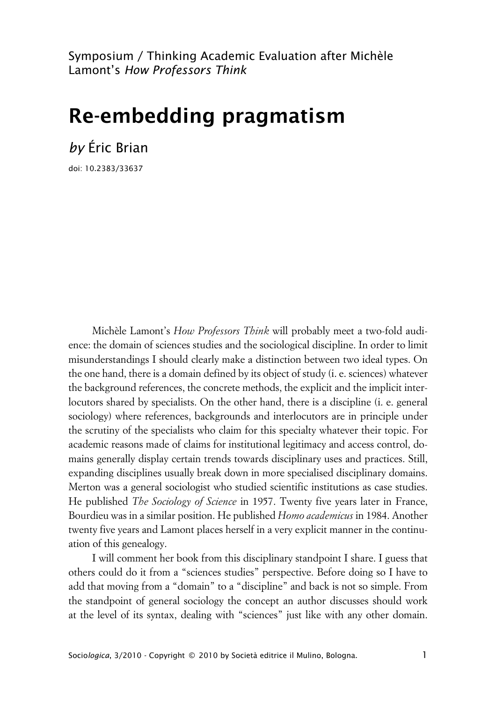Symposium / Thinking Academic Evaluation after Michèle Lamont's *How Professors Think*

# **Re-embedding pragmatism**

*by* Éric Brian

doi: 10.2383/33637

Michèle Lamont's *How Professors Think* will probably meet a two-fold audience: the domain of sciences studies and the sociological discipline. In order to limit misunderstandings I should clearly make a distinction between two ideal types. On the one hand, there is a domain defined by its object of study (i. e. sciences) whatever the background references, the concrete methods, the explicit and the implicit interlocutors shared by specialists. On the other hand, there is a discipline (i. e. general sociology) where references, backgrounds and interlocutors are in principle under the scrutiny of the specialists who claim for this specialty whatever their topic. For academic reasons made of claims for institutional legitimacy and access control, domains generally display certain trends towards disciplinary uses and practices. Still, expanding disciplines usually break down in more specialised disciplinary domains. Merton was a general sociologist who studied scientific institutions as case studies. He published *The Sociology of Science* in 1957. Twenty five years later in France, Bourdieu was in a similar position. He published *Homo academicus* in 1984. Another twenty five years and Lamont places herself in a very explicit manner in the continuation of this genealogy.

I will comment her book from this disciplinary standpoint I share. I guess that others could do it from a "sciences studies" perspective. Before doing so I have to add that moving from a "domain" to a "discipline" and back is not so simple. From the standpoint of general sociology the concept an author discusses should work at the level of its syntax, dealing with "sciences" just like with any other domain.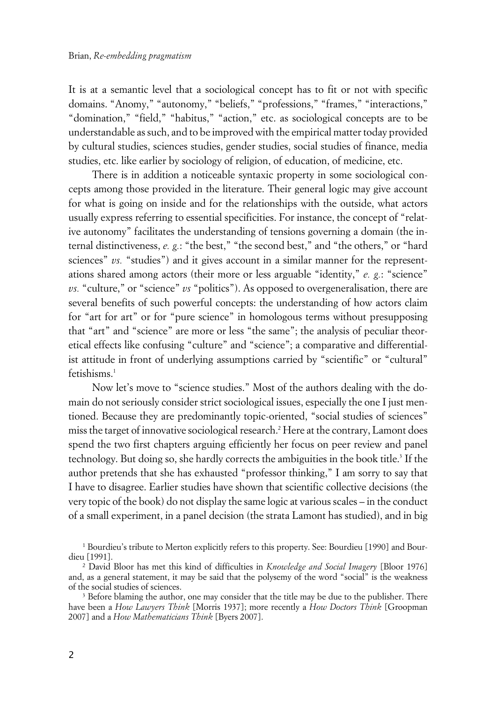It is at a semantic level that a sociological concept has to fit or not with specific domains. "Anomy," "autonomy," "beliefs," "professions," "frames," "interactions," "domination," "field," "habitus," "action," etc. as sociological concepts are to be understandable as such, and to be improved with the empirical matter today provided by cultural studies, sciences studies, gender studies, social studies of finance, media studies, etc. like earlier by sociology of religion, of education, of medicine, etc.

There is in addition a noticeable syntaxic property in some sociological concepts among those provided in the literature. Their general logic may give account for what is going on inside and for the relationships with the outside, what actors usually express referring to essential specificities. For instance, the concept of "relative autonomy" facilitates the understanding of tensions governing a domain (the internal distinctiveness, *e. g.*: "the best," "the second best," and "the others," or "hard sciences" *vs.* "studies") and it gives account in a similar manner for the representations shared among actors (their more or less arguable "identity," *e. g.*: "science" *vs.* "culture," or "science" *vs* "politics"). As opposed to overgeneralisation, there are several benefits of such powerful concepts: the understanding of how actors claim for "art for art" or for "pure science" in homologous terms without presupposing that "art" and "science" are more or less "the same"; the analysis of peculiar theoretical effects like confusing "culture" and "science"; a comparative and differentialist attitude in front of underlying assumptions carried by "scientific" or "cultural" fetishisms.<sup>1</sup>

Now let's move to "science studies." Most of the authors dealing with the domain do not seriously consider strict sociological issues, especially the one I just mentioned. Because they are predominantly topic-oriented, "social studies of sciences" miss the target of innovative sociological research.<sup>2</sup> Here at the contrary, Lamont does spend the two first chapters arguing efficiently her focus on peer review and panel technology. But doing so, she hardly corrects the ambiguities in the book title.<sup>3</sup> If the author pretends that she has exhausted "professor thinking," I am sorry to say that I have to disagree. Earlier studies have shown that scientific collective decisions (the very topic of the book) do not display the same logic at various scales – in the conduct of a small experiment, in a panel decision (the strata Lamont has studied), and in big

<sup>1</sup> Bourdieu's tribute to Merton explicitly refers to this property. See: Bourdieu [1990] and Bourdieu [1991].

<sup>2</sup> David Bloor has met this kind of difficulties in *Knowledge and Social Imagery* [Bloor 1976] and, as a general statement, it may be said that the polysemy of the word "social" is the weakness of the social studies of sciences.

<sup>&</sup>lt;sup>3</sup> Before blaming the author, one may consider that the title may be due to the publisher. There have been a *How Lawyers Think* [Morris 1937]; more recently a *How Doctors Think* [Groopman 2007] and a *How Mathematicians Think* [Byers 2007].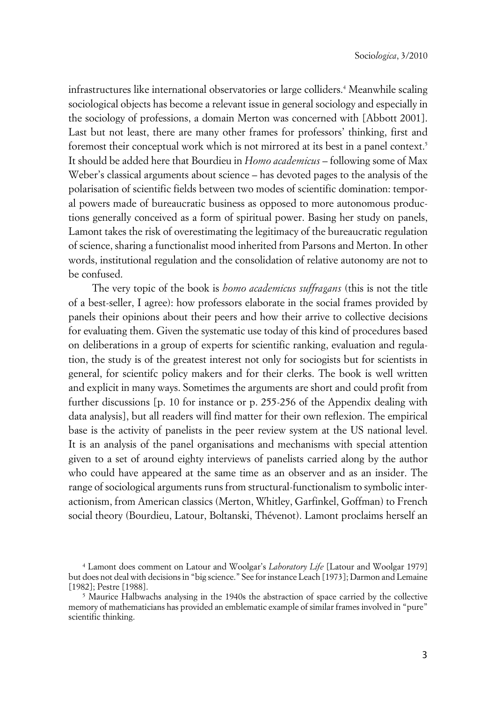infrastructures like international observatories or large colliders.<sup>4</sup> Meanwhile scaling sociological objects has become a relevant issue in general sociology and especially in the sociology of professions, a domain Merton was concerned with [Abbott 2001]. Last but not least, there are many other frames for professors' thinking, first and foremost their conceptual work which is not mirrored at its best in a panel context.<sup>5</sup> It should be added here that Bourdieu in *Homo academicus* – following some of Max Weber's classical arguments about science – has devoted pages to the analysis of the polarisation of scientific fields between two modes of scientific domination: temporal powers made of bureaucratic business as opposed to more autonomous productions generally conceived as a form of spiritual power. Basing her study on panels, Lamont takes the risk of overestimating the legitimacy of the bureaucratic regulation of science, sharing a functionalist mood inherited from Parsons and Merton. In other words, institutional regulation and the consolidation of relative autonomy are not to be confused.

The very topic of the book is *homo academicus suffragans* (this is not the title of a best-seller, I agree): how professors elaborate in the social frames provided by panels their opinions about their peers and how their arrive to collective decisions for evaluating them. Given the systematic use today of this kind of procedures based on deliberations in a group of experts for scientific ranking, evaluation and regulation, the study is of the greatest interest not only for sociogists but for scientists in general, for scientifc policy makers and for their clerks. The book is well written and explicit in many ways. Sometimes the arguments are short and could profit from further discussions [p. 10 for instance or p. 255-256 of the Appendix dealing with data analysis], but all readers will find matter for their own reflexion. The empirical base is the activity of panelists in the peer review system at the US national level. It is an analysis of the panel organisations and mechanisms with special attention given to a set of around eighty interviews of panelists carried along by the author who could have appeared at the same time as an observer and as an insider. The range of sociological arguments runs from structural-functionalism to symbolic interactionism, from American classics (Merton, Whitley, Garfinkel, Goffman) to French social theory (Bourdieu, Latour, Boltanski, Thévenot). Lamont proclaims herself an

<sup>4</sup> Lamont does comment on Latour and Woolgar's *Laboratory Life* [Latour and Woolgar 1979] but does not deal with decisions in "big science." See for instance Leach [1973]; Darmon and Lemaine [1982]; Pestre [1988].

<sup>5</sup> Maurice Halbwachs analysing in the 1940s the abstraction of space carried by the collective memory of mathematicians has provided an emblematic example of similar frames involved in "pure" scientific thinking.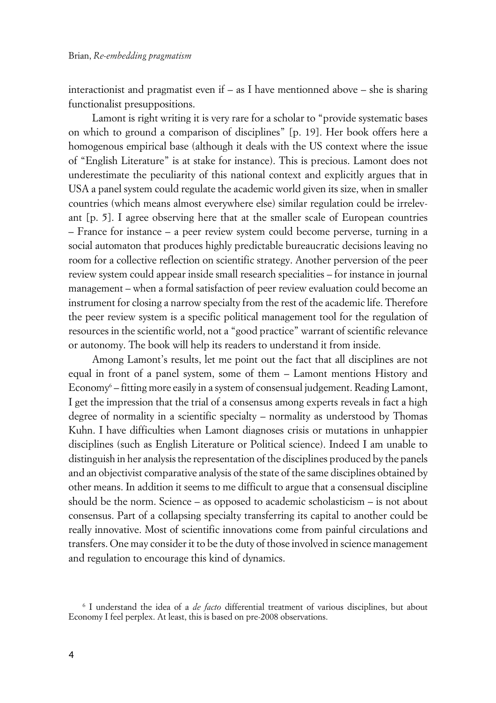interactionist and pragmatist even if – as I have mentionned above – she is sharing functionalist presuppositions.

Lamont is right writing it is very rare for a scholar to "provide systematic bases on which to ground a comparison of disciplines" [p. 19]. Her book offers here a homogenous empirical base (although it deals with the US context where the issue of "English Literature" is at stake for instance). This is precious. Lamont does not underestimate the peculiarity of this national context and explicitly argues that in USA a panel system could regulate the academic world given its size, when in smaller countries (which means almost everywhere else) similar regulation could be irrelevant [p. 5]. I agree observing here that at the smaller scale of European countries – France for instance – a peer review system could become perverse, turning in a social automaton that produces highly predictable bureaucratic decisions leaving no room for a collective reflection on scientific strategy. Another perversion of the peer review system could appear inside small research specialities – for instance in journal management – when a formal satisfaction of peer review evaluation could become an instrument for closing a narrow specialty from the rest of the academic life. Therefore the peer review system is a specific political management tool for the regulation of resources in the scientific world, not a "good practice" warrant of scientific relevance or autonomy. The book will help its readers to understand it from inside.

Among Lamont's results, let me point out the fact that all disciplines are not equal in front of a panel system, some of them – Lamont mentions History and Economy<sup>6</sup> – fitting more easily in a system of consensual judgement. Reading Lamont, I get the impression that the trial of a consensus among experts reveals in fact a high degree of normality in a scientific specialty – normality as understood by Thomas Kuhn. I have difficulties when Lamont diagnoses crisis or mutations in unhappier disciplines (such as English Literature or Political science). Indeed I am unable to distinguish in her analysis the representation of the disciplines produced by the panels and an objectivist comparative analysis of the state of the same disciplines obtained by other means. In addition it seems to me difficult to argue that a consensual discipline should be the norm. Science – as opposed to academic scholasticism – is not about consensus. Part of a collapsing specialty transferring its capital to another could be really innovative. Most of scientific innovations come from painful circulations and transfers. One may consider it to be the duty of those involved in science management and regulation to encourage this kind of dynamics.

<sup>6</sup> I understand the idea of a *de facto* differential treatment of various disciplines, but about Economy I feel perplex. At least, this is based on pre-2008 observations.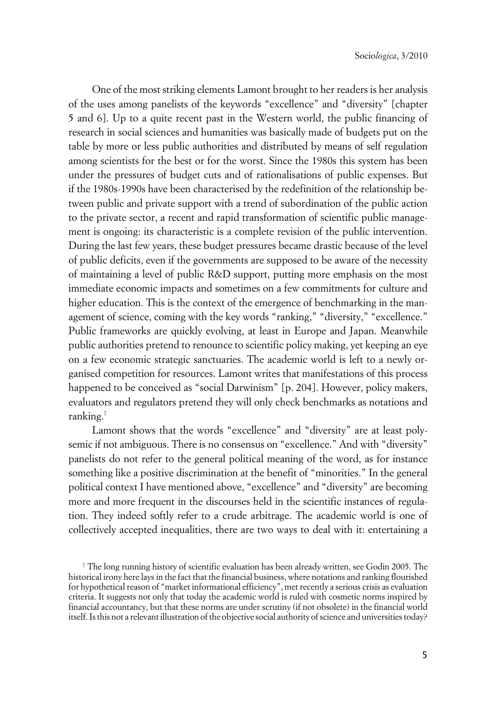One of the most striking elements Lamont brought to her readers is her analysis of the uses among panelists of the keywords "excellence" and "diversity" [chapter 5 and 6]. Up to a quite recent past in the Western world, the public financing of research in social sciences and humanities was basically made of budgets put on the table by more or less public authorities and distributed by means of self regulation among scientists for the best or for the worst. Since the 1980s this system has been under the pressures of budget cuts and of rationalisations of public expenses. But if the 1980s-1990s have been characterised by the redefinition of the relationship between public and private support with a trend of subordination of the public action to the private sector, a recent and rapid transformation of scientific public management is ongoing: its characteristic is a complete revision of the public intervention. During the last few years, these budget pressures became drastic because of the level of public deficits, even if the governments are supposed to be aware of the necessity of maintaining a level of public R&D support, putting more emphasis on the most immediate economic impacts and sometimes on a few commitments for culture and higher education. This is the context of the emergence of benchmarking in the management of science, coming with the key words "ranking," "diversity," "excellence." Public frameworks are quickly evolving, at least in Europe and Japan. Meanwhile public authorities pretend to renounce to scientific policy making, yet keeping an eye on a few economic strategic sanctuaries. The academic world is left to a newly organised competition for resources. Lamont writes that manifestations of this process happened to be conceived as "social Darwinism" [p. 204]. However, policy makers, evaluators and regulators pretend they will only check benchmarks as notations and ranking.<sup>7</sup>

Lamont shows that the words "excellence" and "diversity" are at least polysemic if not ambiguous. There is no consensus on "excellence." And with "diversity" panelists do not refer to the general political meaning of the word, as for instance something like a positive discrimination at the benefit of "minorities." In the general political context I have mentioned above, "excellence" and "diversity" are becoming more and more frequent in the discourses held in the scientific instances of regulation. They indeed softly refer to a crude arbitrage. The academic world is one of collectively accepted inequalities, there are two ways to deal with it: entertaining a

<sup>7</sup> The long running history of scientific evaluation has been already written, see Godin 2005. The historical irony here lays in the fact that the financial business, where notations and ranking flourished for hypothetical reason of "market informational efficiency", met recently a serious crisis as evaluation criteria. It suggests not only that today the academic world is ruled with cosmetic norms inspired by financial accountancy, but that these norms are under scrutiny (if not obsolete) in the financial world itself. Is this not a relevant illustration of the objective social authority of science and universities today?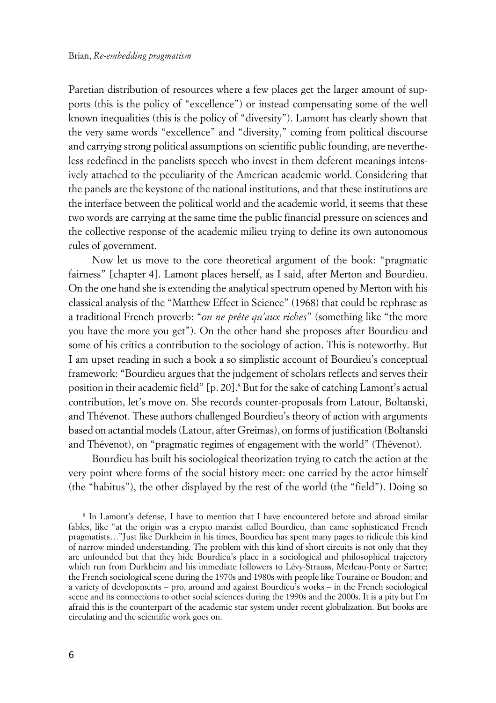Paretian distribution of resources where a few places get the larger amount of supports (this is the policy of "excellence") or instead compensating some of the well known inequalities (this is the policy of "diversity"). Lamont has clearly shown that the very same words "excellence" and "diversity," coming from political discourse and carrying strong political assumptions on scientific public founding, are nevertheless redefined in the panelists speech who invest in them deferent meanings intensively attached to the peculiarity of the American academic world. Considering that the panels are the keystone of the national institutions, and that these institutions are the interface between the political world and the academic world, it seems that these two words are carrying at the same time the public financial pressure on sciences and the collective response of the academic milieu trying to define its own autonomous rules of government.

Now let us move to the core theoretical argument of the book: "pragmatic fairness" [chapter 4]. Lamont places herself, as I said, after Merton and Bourdieu. On the one hand she is extending the analytical spectrum opened by Merton with his classical analysis of the "Matthew Effect in Science" (1968) that could be rephrase as a traditional French proverb: "*on ne prête qu'aux riches*" (something like "the more you have the more you get"). On the other hand she proposes after Bourdieu and some of his critics a contribution to the sociology of action. This is noteworthy. But I am upset reading in such a book a so simplistic account of Bourdieu's conceptual framework: "Bourdieu argues that the judgement of scholars reflects and serves their position in their academic field" [p. 20].8 But for the sake of catching Lamont's actual contribution, let's move on. She records counter-proposals from Latour, Boltanski, and Thévenot. These authors challenged Bourdieu's theory of action with arguments based on actantial models (Latour, after Greimas), on forms of justification (Boltanski and Thévenot), on "pragmatic regimes of engagement with the world" (Thévenot).

Bourdieu has built his sociological theorization trying to catch the action at the very point where forms of the social history meet: one carried by the actor himself (the "habitus"), the other displayed by the rest of the world (the "field"). Doing so

<sup>8</sup> In Lamont's defense, I have to mention that I have encountered before and abroad similar fables, like "at the origin was a crypto marxist called Bourdieu, than came sophisticated French pragmatists…"Just like Durkheim in his times, Bourdieu has spent many pages to ridicule this kind of narrow minded understanding. The problem with this kind of short circuits is not only that they are unfounded but that they hide Bourdieu's place in a sociological and philosophical trajectory which run from Durkheim and his immediate followers to Lévy-Strauss, Merleau-Ponty or Sartre; the French sociological scene during the 1970s and 1980s with people like Touraine or Boudon; and a variety of developments – pro, around and against Bourdieu's works – in the French sociological scene and its connections to other social sciences during the 1990s and the 2000s. It is a pity but I'm afraid this is the counterpart of the academic star system under recent globalization. But books are circulating and the scientific work goes on.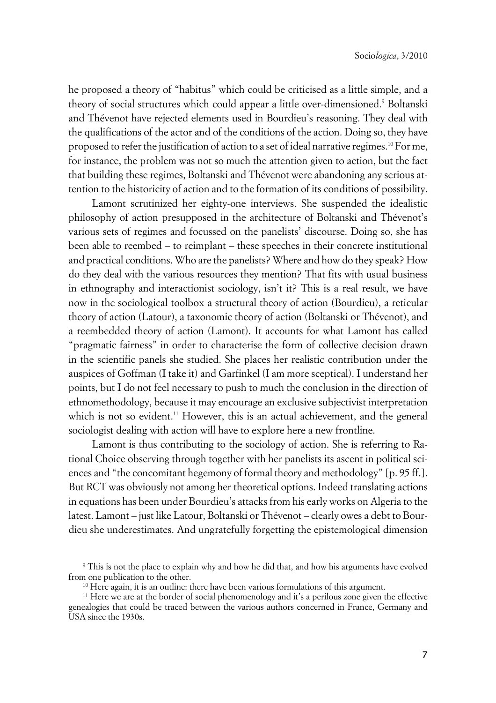he proposed a theory of "habitus" which could be criticised as a little simple, and a theory of social structures which could appear a little over-dimensioned.<sup>9</sup> Boltanski and Thévenot have rejected elements used in Bourdieu's reasoning. They deal with the qualifications of the actor and of the conditions of the action. Doing so, they have proposed to refer the justification of action to a set of ideal narrative regimes.<sup>10</sup> For me, for instance, the problem was not so much the attention given to action, but the fact that building these regimes, Boltanski and Thévenot were abandoning any serious attention to the historicity of action and to the formation of its conditions of possibility.

Lamont scrutinized her eighty-one interviews. She suspended the idealistic philosophy of action presupposed in the architecture of Boltanski and Thévenot's various sets of regimes and focussed on the panelists' discourse. Doing so, she has been able to reembed – to reimplant – these speeches in their concrete institutional and practical conditions. Who are the panelists? Where and how do they speak? How do they deal with the various resources they mention? That fits with usual business in ethnography and interactionist sociology, isn't it? This is a real result, we have now in the sociological toolbox a structural theory of action (Bourdieu), a reticular theory of action (Latour), a taxonomic theory of action (Boltanski or Thévenot), and a reembedded theory of action (Lamont). It accounts for what Lamont has called "pragmatic fairness" in order to characterise the form of collective decision drawn in the scientific panels she studied. She places her realistic contribution under the auspices of Goffman (I take it) and Garfinkel (I am more sceptical). I understand her points, but I do not feel necessary to push to much the conclusion in the direction of ethnomethodology, because it may encourage an exclusive subjectivist interpretation which is not so evident.<sup>11</sup> However, this is an actual achievement, and the general sociologist dealing with action will have to explore here a new frontline.

Lamont is thus contributing to the sociology of action. She is referring to Rational Choice observing through together with her panelists its ascent in political sciences and "the concomitant hegemony of formal theory and methodology" [p. 95 ff.]. But RCT was obviously not among her theoretical options. Indeed translating actions in equations has been under Bourdieu's attacks from his early works on Algeria to the latest. Lamont – just like Latour, Boltanski or Thévenot – clearly owes a debt to Bourdieu she underestimates. And ungratefully forgetting the epistemological dimension

<sup>9</sup> This is not the place to explain why and how he did that, and how his arguments have evolved from one publication to the other.

<sup>&</sup>lt;sup>10</sup> Here again, it is an outline: there have been various formulations of this argument.

<sup>&</sup>lt;sup>11</sup> Here we are at the border of social phenomenology and it's a perilous zone given the effective genealogies that could be traced between the various authors concerned in France, Germany and USA since the 1930s.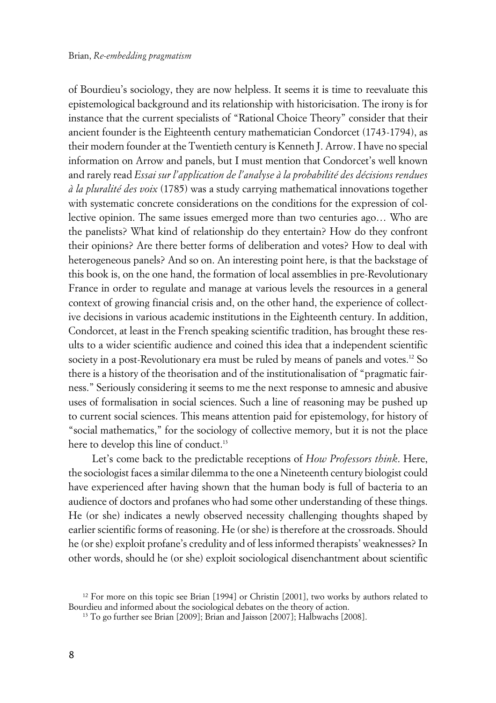of Bourdieu's sociology, they are now helpless. It seems it is time to reevaluate this epistemological background and its relationship with historicisation. The irony is for instance that the current specialists of "Rational Choice Theory" consider that their ancient founder is the Eighteenth century mathematician Condorcet (1743-1794), as their modern founder at the Twentieth century is Kenneth J. Arrow. I have no special information on Arrow and panels, but I must mention that Condorcet's well known and rarely read *Essai sur l'application de l'analyse à la probabilité des décisions rendues à la pluralité des voix* (1785) was a study carrying mathematical innovations together with systematic concrete considerations on the conditions for the expression of collective opinion. The same issues emerged more than two centuries ago… Who are the panelists? What kind of relationship do they entertain? How do they confront their opinions? Are there better forms of deliberation and votes? How to deal with heterogeneous panels? And so on. An interesting point here, is that the backstage of this book is, on the one hand, the formation of local assemblies in pre-Revolutionary France in order to regulate and manage at various levels the resources in a general context of growing financial crisis and, on the other hand, the experience of collective decisions in various academic institutions in the Eighteenth century. In addition, Condorcet, at least in the French speaking scientific tradition, has brought these results to a wider scientific audience and coined this idea that a independent scientific society in a post-Revolutionary era must be ruled by means of panels and votes.<sup>12</sup> So there is a history of the theorisation and of the institutionalisation of "pragmatic fairness." Seriously considering it seems to me the next response to amnesic and abusive uses of formalisation in social sciences. Such a line of reasoning may be pushed up to current social sciences. This means attention paid for epistemology, for history of "social mathematics," for the sociology of collective memory, but it is not the place here to develop this line of conduct.<sup>13</sup>

Let's come back to the predictable receptions of *How Professors think*. Here, the sociologist faces a similar dilemma to the one a Nineteenth century biologist could have experienced after having shown that the human body is full of bacteria to an audience of doctors and profanes who had some other understanding of these things. He (or she) indicates a newly observed necessity challenging thoughts shaped by earlier scientific forms of reasoning. He (or she) is therefore at the crossroads. Should he (or she) exploit profane's credulity and of less informed therapists' weaknesses? In other words, should he (or she) exploit sociological disenchantment about scientific

<sup>&</sup>lt;sup>12</sup> For more on this topic see Brian [1994] or Christin [2001], two works by authors related to Bourdieu and informed about the sociological debates on the theory of action.

<sup>13</sup> To go further see Brian [2009]; Brian and Jaisson [2007]; Halbwachs [2008].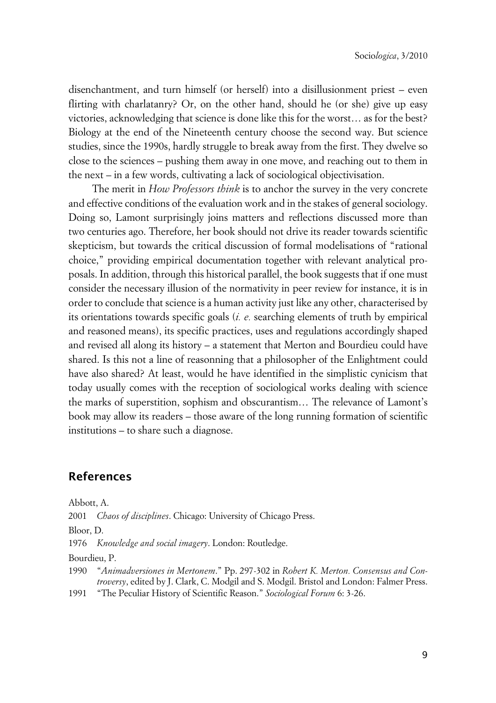disenchantment, and turn himself (or herself) into a disillusionment priest – even flirting with charlatanry? Or, on the other hand, should he (or she) give up easy victories, acknowledging that science is done like this for the worst… as for the best? Biology at the end of the Nineteenth century choose the second way. But science studies, since the 1990s, hardly struggle to break away from the first. They dwelve so close to the sciences – pushing them away in one move, and reaching out to them in the next – in a few words, cultivating a lack of sociological objectivisation.

The merit in *How Professors think* is to anchor the survey in the very concrete and effective conditions of the evaluation work and in the stakes of general sociology. Doing so, Lamont surprisingly joins matters and reflections discussed more than two centuries ago. Therefore, her book should not drive its reader towards scientific skepticism, but towards the critical discussion of formal modelisations of "rational choice," providing empirical documentation together with relevant analytical proposals. In addition, through this historical parallel, the book suggests that if one must consider the necessary illusion of the normativity in peer review for instance, it is in order to conclude that science is a human activity just like any other, characterised by its orientations towards specific goals (*i. e.* searching elements of truth by empirical and reasoned means), its specific practices, uses and regulations accordingly shaped and revised all along its history – a statement that Merton and Bourdieu could have shared. Is this not a line of reasonning that a philosopher of the Enlightment could have also shared? At least, would he have identified in the simplistic cynicism that today usually comes with the reception of sociological works dealing with science the marks of superstition, sophism and obscurantism… The relevance of Lamont's book may allow its readers – those aware of the long running formation of scientific institutions – to share such a diagnose.

## **References**

Abbott, A.

2001 *Chaos of disciplines*. Chicago: University of Chicago Press.

Bloor, D.

1976 *Knowledge and social imagery*. London: Routledge.

Bourdieu, P.

1990 "*Animadversiones in Mertonem*." Pp. 297-302 in *Robert K. Merton. Consensus and Controversy*, edited by J. Clark, C. Modgil and S. Modgil. Bristol and London: Falmer Press.

1991 "The Peculiar History of Scientific Reason." *Sociological Forum* 6: 3-26.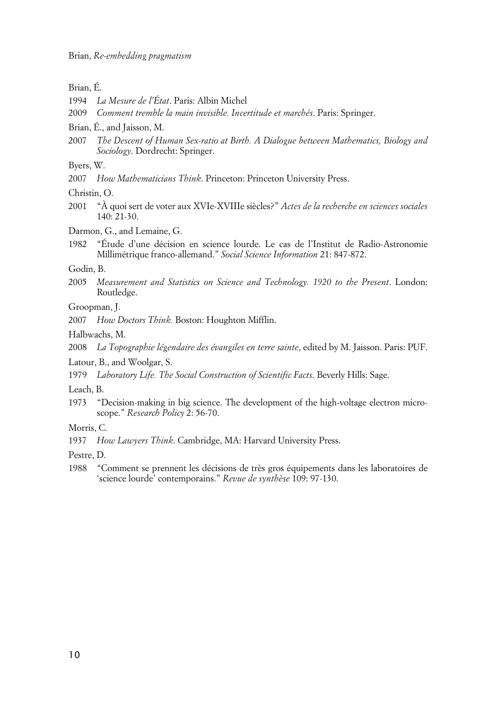### Brian, É.

- 1994 *La Mesure de l'État*. Paris: Albin Michel
- 2009 *Comment tremble la main invisible. Incertitude et marchés*. Paris: Springer.
- Brian, É., and Jaisson, M.
- 2007 *The Descent of Human Sex-ratio at Birth. A Dialogue between Mathematics, Biology and Sociology*. Dordrecht: Springer.

Byers, W.

2007 *How Mathematicians Think*. Princeton: Princeton University Press.

Christin, O.

2001 "À quoi sert de voter aux XVIe-XVIIIe siècles?" *Actes de la recherche en sciences sociales* 140: 21-30.

Darmon, G., and Lemaine, G.

1982 "Étude d'une décision en science lourde. Le cas de l'Institut de Radio-Astronomie Millimétrique franco-allemand." *Social Science Information* 21: 847-872.

#### Godin, B.

- 2005 *Measurement and Statistics on Science and Technology. 1920 to the Present*. London: Routledge.
- Groopman, J.
- 2007 *How Doctors Think.* Boston: Houghton Mifflin.
- Halbwachs, M.
- 2008 *La Topographie légendaire des évangiles en terre sainte*, edited by M. Jaisson. Paris: PUF.

Latour, B., and Woolgar, S.

1979 *Laboratory Life. The Social Construction of Scientific Facts*. Beverly Hills: Sage.

Leach, B.

1973 "Decision-making in big science. The development of the high-voltage electron microscope." *Research Policy* 2: 56-70.

Morris, C.

1937 *How Lawyers Think*. Cambridge, MA: Harvard University Press.

Pestre, D.

1988 "Comment se prennent les décisions de très gros équipements dans les laboratoires de 'science lourde' contemporains." *Revue de synthèse* 109: 97-130.